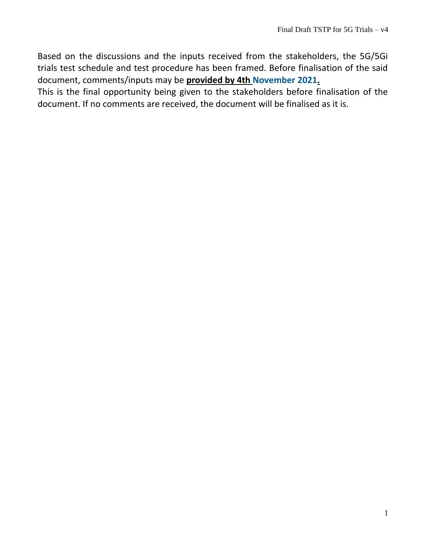Based on the discussions and the inputs received from the stakeholders, the 5G/5Gi trials test schedule and test procedure has been framed. Before finalisation of the said document, comments/inputs may be **provided by 4th November 2021.**

This is the final opportunity being given to the stakeholders before finalisation of the document. If no comments are received, the document will be finalised as it is.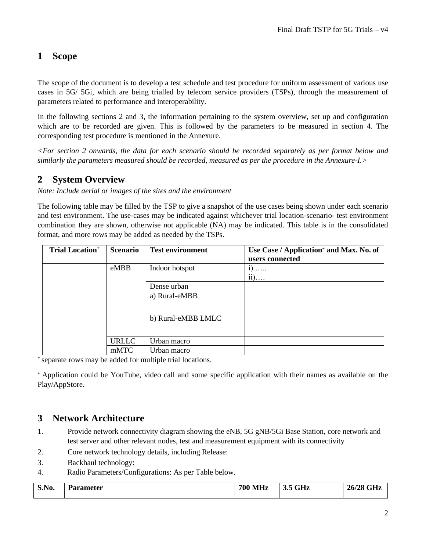## **1 Scope**

The scope of the document is to develop a test schedule and test procedure for uniform assessment of various use cases in 5G/ 5Gi, which are being trialled by telecom service providers (TSPs), through the measurement of parameters related to performance and interoperability.

In the following sections 2 and 3, the information pertaining to the system overview, set up and configuration which are to be recorded are given. This is followed by the parameters to be measured in section 4. The corresponding test procedure is mentioned in the Annexure.

*<For section 2 onwards, the data for each scenario should be recorded separately as per format below and similarly the parameters measured should be recorded, measured as per the procedure in the Annexure-I.>*

## **2 System Overview**

*Note: Include aerial or images of the sites and the environment* 

The following table may be filled by the TSP to give a snapshot of the use cases being shown under each scenario and test environment. The use-cases may be indicated against whichever trial location-scenario- test environment combination they are shown, otherwise not applicable (NA) may be indicated. This table is in the consolidated format, and more rows may be added as needed by the TSPs.

| <b>Trial Location</b> <sup>+</sup> | <b>Scenario</b> | <b>Test environment</b> | Use Case / Application <sup>*</sup> and Max. No. of<br>users connected |
|------------------------------------|-----------------|-------------------------|------------------------------------------------------------------------|
|                                    | eMBB            | Indoor hotspot          | $\ddot{1}$<br>$\cdots$<br>$ii)$                                        |
|                                    |                 | Dense urban             |                                                                        |
|                                    |                 | a) Rural-eMBB           |                                                                        |
|                                    |                 | b) Rural-eMBB LMLC      |                                                                        |
|                                    | <b>URLLC</b>    | Urban macro             |                                                                        |
|                                    | mMTC            | Urban macro             |                                                                        |

<sup>+</sup>separate rows may be added for multiple trial locations.

⁎ Application could be YouTube, video call and some specific application with their names as available on the Play/AppStore.

## **3 Network Architecture**

- 1. Provide network connectivity diagram showing the eNB, 5G gNB/5Gi Base Station, core network and test server and other relevant nodes, test and measurement equipment with its connectivity
- 2. Core network technology details, including Release:
- 3. Backhaul technology:
- 4. Radio Parameters/Configurations: As per Table below.

| S.No. | Parameter | <b>700 MHz</b> | 5 GHz<br>ີ | 26/28 GHz |
|-------|-----------|----------------|------------|-----------|
|-------|-----------|----------------|------------|-----------|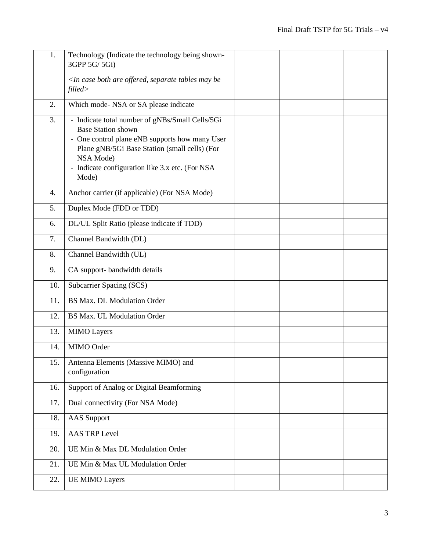| 1.  | Technology (Indicate the technology being shown-<br>3GPP 5G/ 5Gi)                                                                                                                                                                                        |  |  |
|-----|----------------------------------------------------------------------------------------------------------------------------------------------------------------------------------------------------------------------------------------------------------|--|--|
|     | <in are="" be<br="" both="" case="" may="" offered,="" separate="" tables="">filled&gt;</in>                                                                                                                                                             |  |  |
| 2.  | Which mode- NSA or SA please indicate                                                                                                                                                                                                                    |  |  |
| 3.  | - Indicate total number of gNBs/Small Cells/5Gi<br><b>Base Station shown</b><br>- One control plane eNB supports how many User<br>Plane gNB/5Gi Base Station (small cells) (For<br>NSA Mode)<br>- Indicate configuration like 3.x etc. (For NSA<br>Mode) |  |  |
| 4.  | Anchor carrier (if applicable) (For NSA Mode)                                                                                                                                                                                                            |  |  |
| 5.  | Duplex Mode (FDD or TDD)                                                                                                                                                                                                                                 |  |  |
| 6.  | DL/UL Split Ratio (please indicate if TDD)                                                                                                                                                                                                               |  |  |
| 7.  | Channel Bandwidth (DL)                                                                                                                                                                                                                                   |  |  |
| 8.  | Channel Bandwidth (UL)                                                                                                                                                                                                                                   |  |  |
| 9.  | CA support- bandwidth details                                                                                                                                                                                                                            |  |  |
| 10. | Subcarrier Spacing (SCS)                                                                                                                                                                                                                                 |  |  |
| 11. | <b>BS Max. DL Modulation Order</b>                                                                                                                                                                                                                       |  |  |
| 12. | <b>BS Max. UL Modulation Order</b>                                                                                                                                                                                                                       |  |  |
| 13. | <b>MIMO</b> Layers                                                                                                                                                                                                                                       |  |  |
| 14. | MIMO Order                                                                                                                                                                                                                                               |  |  |
| 15. | Antenna Elements (Massive MIMO) and<br>configuration                                                                                                                                                                                                     |  |  |
| 16. | Support of Analog or Digital Beamforming                                                                                                                                                                                                                 |  |  |
| 17. | Dual connectivity (For NSA Mode)                                                                                                                                                                                                                         |  |  |
| 18. | <b>AAS</b> Support                                                                                                                                                                                                                                       |  |  |
| 19. | <b>AAS TRP Level</b>                                                                                                                                                                                                                                     |  |  |
| 20. | UE Min & Max DL Modulation Order                                                                                                                                                                                                                         |  |  |
| 21. | UE Min & Max UL Modulation Order                                                                                                                                                                                                                         |  |  |
| 22. | <b>UE MIMO Layers</b>                                                                                                                                                                                                                                    |  |  |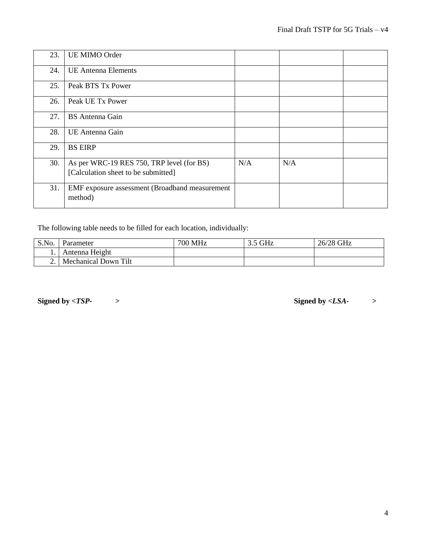| 23. | <b>UE MIMO Order</b>                                                             |     |     |  |
|-----|----------------------------------------------------------------------------------|-----|-----|--|
| 24. | <b>UE Antenna Elements</b>                                                       |     |     |  |
| 25. | Peak BTS Tx Power                                                                |     |     |  |
| 26. | Peak UE Tx Power                                                                 |     |     |  |
| 27. | <b>BS</b> Antenna Gain                                                           |     |     |  |
| 28. | UE Antenna Gain                                                                  |     |     |  |
| 29. | <b>BS EIRP</b>                                                                   |     |     |  |
| 30. | As per WRC-19 RES 750, TRP level (for BS)<br>[Calculation sheet to be submitted] | N/A | N/A |  |
| 31. | EMF exposure assessment (Broadband measurement<br>method)                        |     |     |  |

The following table needs to be filled for each location, individually:

| S.No. | Parameter                   | 700 MHz | $3.5$ GHz | 26/28 GHz |
|-------|-----------------------------|---------|-----------|-----------|
|       | Antenna Height              |         |           |           |
|       | <b>Mechanical Down Tilt</b> |         |           |           |

**Signed by <***TSP- >* **Signed by** *<LSA- >*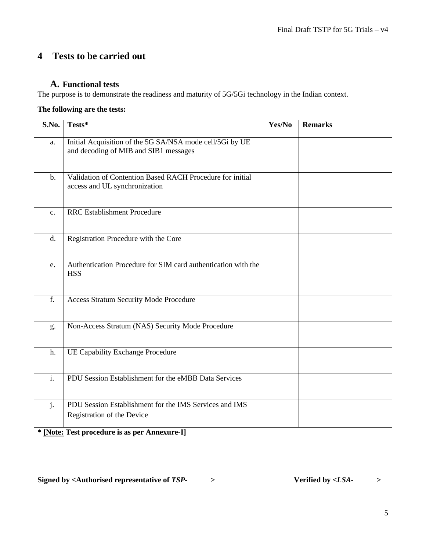## **4 Tests to be carried out**

### **A. Functional tests**

The purpose is to demonstrate the readiness and maturity of 5G/5Gi technology in the Indian context.

### **The following are the tests:**

| S.No.          | Tests*                                                                                            | Yes/No | <b>Remarks</b> |
|----------------|---------------------------------------------------------------------------------------------------|--------|----------------|
| a.             | Initial Acquisition of the 5G SA/NSA mode cell/5Gi by UE<br>and decoding of MIB and SIB1 messages |        |                |
| $b$ .          | Validation of Contention Based RACH Procedure for initial<br>access and UL synchronization        |        |                |
| $\mathbf{c}$ . | <b>RRC</b> Establishment Procedure                                                                |        |                |
| d.             | Registration Procedure with the Core                                                              |        |                |
| e.             | Authentication Procedure for SIM card authentication with the<br><b>HSS</b>                       |        |                |
| f.             | <b>Access Stratum Security Mode Procedure</b>                                                     |        |                |
| g.             | Non-Access Stratum (NAS) Security Mode Procedure                                                  |        |                |
| h.             | <b>UE Capability Exchange Procedure</b>                                                           |        |                |
| $\mathbf{i}$ . | PDU Session Establishment for the eMBB Data Services                                              |        |                |
| j.             | PDU Session Establishment for the IMS Services and IMS<br>Registration of the Device              |        |                |
|                | * [Note: Test procedure is as per Annexure-I]                                                     |        |                |

Signed by <Authorised representative of *TSP-* > **Verified** by <*LSA-* > >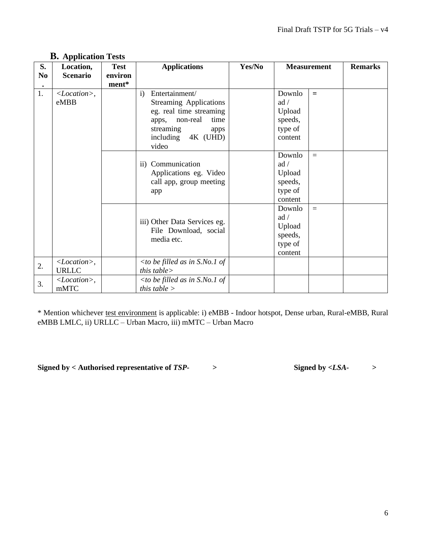| S.             | Location,                 | <b>Test</b> | <b>Applications</b>                                             | Yes/No |                    | <b>Measurement</b> | <b>Remarks</b> |
|----------------|---------------------------|-------------|-----------------------------------------------------------------|--------|--------------------|--------------------|----------------|
| N <sub>0</sub> | <b>Scenario</b>           | environ     |                                                                 |        |                    |                    |                |
|                |                           | ment*       |                                                                 |        |                    |                    |                |
| 1.             | $< Location>$ ,<br>eMBB   |             | Entertainment/<br>$\mathbf{i}$<br><b>Streaming Applications</b> |        | Downlo<br>ad /     | $=$                |                |
|                |                           |             | eg. real time streaming                                         |        | Upload             |                    |                |
|                |                           |             | apps, non-real<br>time                                          |        | speeds,            |                    |                |
|                |                           |             | streaming<br>apps                                               |        | type of            |                    |                |
|                |                           |             | including 4K (UHD)<br>video                                     |        | content            |                    |                |
|                |                           |             |                                                                 |        | Downlo             | $=$                |                |
|                |                           |             | ii) Communication                                               |        | ad /               |                    |                |
|                |                           |             | Applications eg. Video                                          |        | Upload             |                    |                |
|                |                           |             | call app, group meeting                                         |        | speeds,            |                    |                |
|                |                           |             | app                                                             |        | type of<br>content |                    |                |
|                |                           |             |                                                                 |        | Downlo<br>ad /     | $=$                |                |
|                |                           |             | iii) Other Data Services eg.                                    |        | Upload             |                    |                |
|                |                           |             | File Download, social                                           |        | speeds,            |                    |                |
|                |                           |             | media etc.                                                      |        | type of            |                    |                |
|                |                           |             |                                                                 |        | content            |                    |                |
| 2.             | $<$ <i>Location</i> $>$ , |             | $<$ to be filled as in S.No.1 of                                |        |                    |                    |                |
|                | <b>URLLC</b>              |             | this table $>$                                                  |        |                    |                    |                |
| 3.             | $<Location>$ ,            |             | $\langle$ to be filled as in S.No.1 of                          |        |                    |                    |                |
|                | mMTC                      |             | <i>this table</i> $>$                                           |        |                    |                    |                |

## **B. Application Tests**

\* Mention whichever test environment is applicable: i) eMBB - Indoor hotspot, Dense urban, Rural-eMBB, Rural eMBB LMLC, ii) URLLC – Urban Macro, iii) mMTC – Urban Macro

**Signed by < Authorised representative of** *TSP- >* **Signed by** *<LSA- >*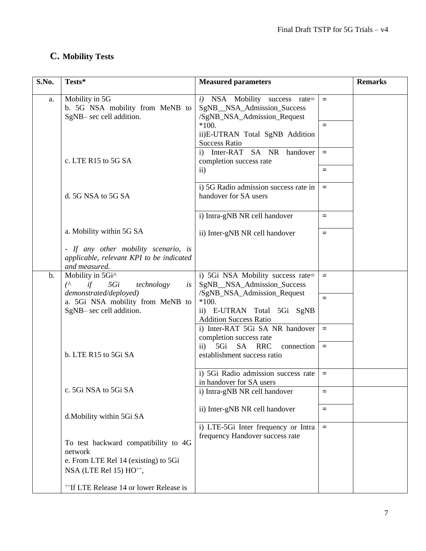# **C. Mobility Tests**

| S.No.         | Tests*                                                                                                                                                       | <b>Measured parameters</b>                                                                                                                                               |                 | <b>Remarks</b> |
|---------------|--------------------------------------------------------------------------------------------------------------------------------------------------------------|--------------------------------------------------------------------------------------------------------------------------------------------------------------------------|-----------------|----------------|
| a.            | Mobility in 5G<br>b. 5G NSA mobility from MeNB to<br>SgNB-sec cell addition.                                                                                 | i) NSA Mobility success rate=<br>SgNB_NSA_Admission_Success<br>/SgNB_NSA_Admission_Request<br>$*100.$<br>ii)E-UTRAN Total SgNB Addition<br><b>Success Ratio</b>          | $\equiv$<br>$=$ |                |
|               | c. LTE R15 to 5G SA                                                                                                                                          | i) Inter-RAT SA NR handover<br>completion success rate<br>$\rm ii)$                                                                                                      | $=$<br>$=$      |                |
|               | d. 5G NSA to 5G SA                                                                                                                                           | i) 5G Radio admission success rate in<br>handover for SA users                                                                                                           | $=$             |                |
|               |                                                                                                                                                              | i) Intra-gNB NR cell handover                                                                                                                                            | Ξ               |                |
|               | a. Mobility within 5G SA                                                                                                                                     | ii) Inter-gNB NR cell handover                                                                                                                                           | $\equiv$        |                |
|               | - If any other mobility scenario, is<br>applicable, relevant KPI to be indicated<br>and measured.                                                            |                                                                                                                                                                          |                 |                |
| $\mathbf b$ . | Mobility in 5Gi^<br>$\mathcal{L}$<br>if<br>5Gi<br>technology<br>is<br>demonstrated/deployed)<br>a. 5Gi NSA mobility from MeNB to<br>SgNB- sec cell addition. | i) 5Gi NSA Mobility success rate=<br>SgNB_NSA_Admission_Success<br>/SgNB_NSA_Admission_Request<br>$*100.$<br>ii) E-UTRAN Total 5Gi SgNB<br><b>Addition Success Ratio</b> | $\equiv$<br>$=$ |                |
|               | b. LTE R15 to 5Gi SA                                                                                                                                         | i) Inter-RAT 5Gi SA NR handover<br>completion success rate<br>$\overline{11}$ 5Gi<br>SA RRC<br>connection<br>establishment success ratio                                 | $=$<br>$\equiv$ |                |
|               |                                                                                                                                                              | i) 5Gi Radio admission success rate<br>in handover for SA users                                                                                                          | $=$             |                |
|               | c. 5Gi NSA to 5Gi SA                                                                                                                                         | i) Intra-gNB NR cell handover                                                                                                                                            | $=$             |                |
|               | d.Mobility within 5Gi SA                                                                                                                                     | ii) Inter-gNB NR cell handover<br>i) LTE-5Gi Inter frequency or Intra                                                                                                    | Ξ<br>$=$        |                |
|               | To test backward compatibility to 4G<br>network<br>e. From LTE Rel 14 (existing) to 5Gi<br>NSA (LTE Rel 15) $HO^{++}$ ,                                      | frequency Handover success rate                                                                                                                                          |                 |                |
|               | <sup>++</sup> If LTE Release 14 or lower Release is                                                                                                          |                                                                                                                                                                          |                 |                |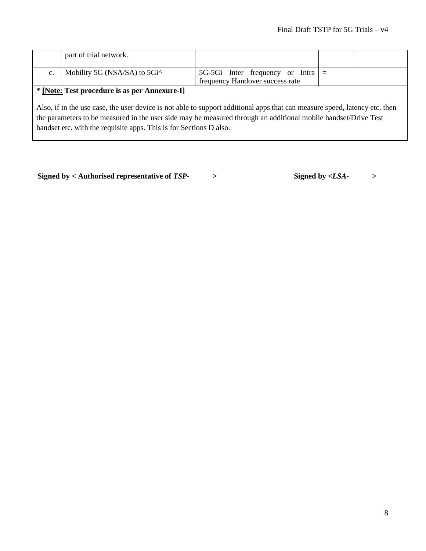|                                                                                                                            | part of trial network.                                    |                                           |  |  |
|----------------------------------------------------------------------------------------------------------------------------|-----------------------------------------------------------|-------------------------------------------|--|--|
|                                                                                                                            |                                                           |                                           |  |  |
| c.                                                                                                                         | Mobility 5G (NSA/SA) to 5Gi <sup><math>\land</math></sup> | 5G-5Gi Inter frequency or Intra $\vert$ = |  |  |
|                                                                                                                            |                                                           | frequency Handover success rate           |  |  |
| * [Note: Test procedure is as per Annexure-I]                                                                              |                                                           |                                           |  |  |
|                                                                                                                            |                                                           |                                           |  |  |
| Also, if in the use case, the user device is not able to support additional apps that can measure speed, latency etc. then |                                                           |                                           |  |  |
| the parameters to be measured in the user side may be measured through an additional mobile handset/Drive Test             |                                                           |                                           |  |  |
|                                                                                                                            |                                                           |                                           |  |  |
| handset etc. with the requisite apps. This is for Sections D also.                                                         |                                                           |                                           |  |  |

**Signed by < Authorised representative of** *TSP- >* **Signed by** *<LSA- >*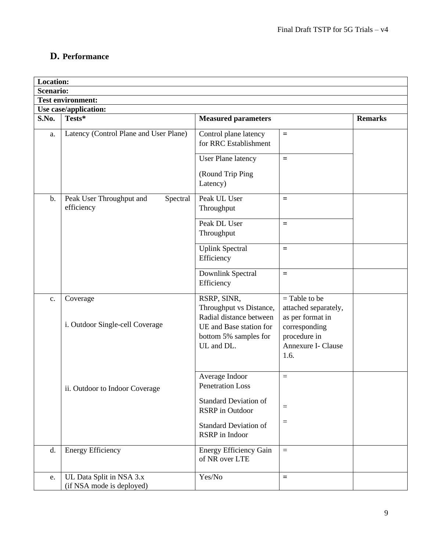## **D. Performance**

| <b>Location:</b> |                                                       |                                                                   |                                                             |                |
|------------------|-------------------------------------------------------|-------------------------------------------------------------------|-------------------------------------------------------------|----------------|
| <b>Scenario:</b> |                                                       |                                                                   |                                                             |                |
|                  | <b>Test environment:</b>                              |                                                                   |                                                             |                |
|                  | Use case/application:                                 |                                                                   |                                                             |                |
| S.No.            | Tests*                                                | <b>Measured parameters</b>                                        |                                                             | <b>Remarks</b> |
| a.               | Latency (Control Plane and User Plane)                | Control plane latency<br>for RRC Establishment                    | $=$                                                         |                |
|                  |                                                       | <b>User Plane latency</b>                                         | $\equiv$                                                    |                |
|                  |                                                       | (Round Trip Ping<br>Latency)                                      |                                                             |                |
| $\mathbf b$ .    | Peak User Throughput and<br>Spectral<br>efficiency    | Peak UL User<br>Throughput                                        | $=$                                                         |                |
|                  |                                                       | Peak DL User<br>Throughput                                        | $=$                                                         |                |
|                  |                                                       | <b>Uplink Spectral</b><br>Efficiency                              | $=$                                                         |                |
|                  |                                                       | Downlink Spectral<br>Efficiency                                   | $=$                                                         |                |
| c.               | Coverage                                              | RSRP, SINR,<br>Throughput vs Distance,<br>Radial distance between | $=$ Table to be<br>attached separately,<br>as per format in |                |
|                  | i. Outdoor Single-cell Coverage                       | UE and Base station for<br>bottom 5% samples for<br>UL and DL.    | corresponding<br>procedure in<br>Annexure I- Clause<br>1.6. |                |
|                  | ii. Outdoor to Indoor Coverage                        | Average Indoor<br>Penetration Loss                                | $=$                                                         |                |
|                  |                                                       | <b>Standard Deviation of</b><br><b>RSRP</b> in Outdoor            | $=$                                                         |                |
|                  |                                                       | <b>Standard Deviation of</b><br>RSRP in Indoor                    | $=$                                                         |                |
| d.               | <b>Energy Efficiency</b>                              | <b>Energy Efficiency Gain</b><br>of NR over LTE                   | $\equiv$                                                    |                |
| e.               | UL Data Split in NSA 3.x<br>(if NSA mode is deployed) | Yes/No                                                            | $\equiv$                                                    |                |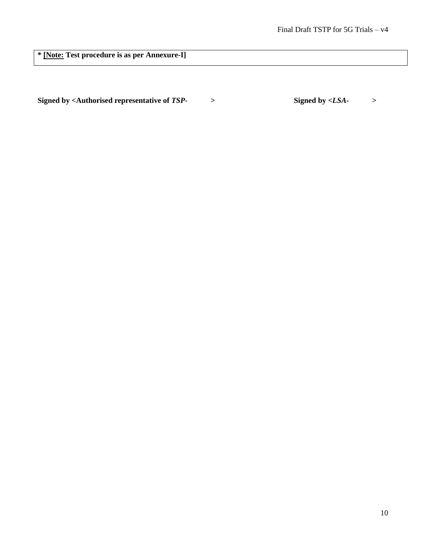**\* [Note: Test procedure is as per Annexure-I]**

**Signed by <Authorised representative of** *TSP- >* **Signed by** *<LSA- >*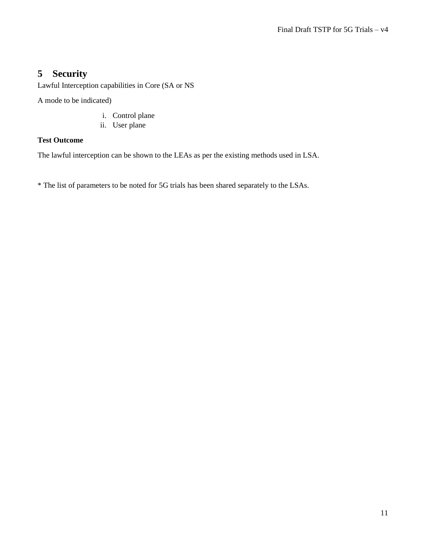## **5 Security**

Lawful Interception capabilities in Core (SA or NS

A mode to be indicated)

- i. Control plane
- ii. User plane

#### **Test Outcome**

The lawful interception can be shown to the LEAs as per the existing methods used in LSA.

\* The list of parameters to be noted for 5G trials has been shared separately to the LSAs.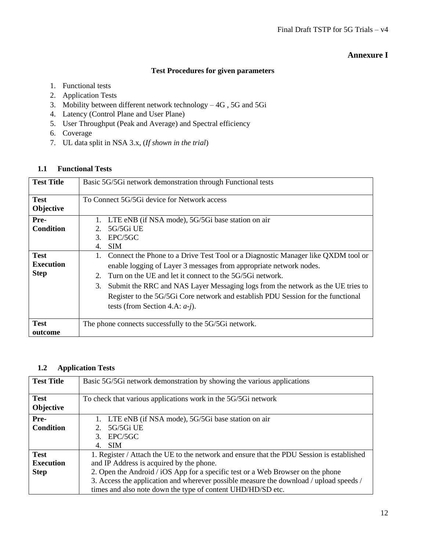#### **Annexure I**

#### **Test Procedures for given parameters**

- 1. Functional tests
- 2. Application Tests
- 3. Mobility between different network technology 4G , 5G and 5Gi
- 4. Latency (Control Plane and User Plane)
- 5. User Throughput (Peak and Average) and Spectral efficiency
- 6. Coverage
- 7. UL data split in NSA 3.x, (*If shown in the trial*)

#### **1.1 Functional Tests**

| <b>Test Title</b>                              | Basic 5G/5Gi network demonstration through Functional tests                                                                                                                                                                                                                                                                                                                                                                                |
|------------------------------------------------|--------------------------------------------------------------------------------------------------------------------------------------------------------------------------------------------------------------------------------------------------------------------------------------------------------------------------------------------------------------------------------------------------------------------------------------------|
| <b>Test</b><br>Objective                       | To Connect 5G/5Gi device for Network access                                                                                                                                                                                                                                                                                                                                                                                                |
| Pre-<br><b>Condition</b>                       | LTE eNB (if NSA mode), 5G/5Gi base station on air<br>5G/5Gi UE<br>$2^{\circ}$<br>EPC/5GC<br>$\mathcal{F}$<br><b>SIM</b><br>$\mathbf{4}$ .                                                                                                                                                                                                                                                                                                  |
| <b>Test</b><br><b>Execution</b><br><b>Step</b> | Connect the Phone to a Drive Test Tool or a Diagnostic Manager like QXDM tool or<br>enable logging of Layer 3 messages from appropriate network nodes.<br>Turn on the UE and let it connect to the 5G/5Gi network.<br>2.<br>Submit the RRC and NAS Layer Messaging logs from the network as the UE tries to<br>3.<br>Register to the 5G/5Gi Core network and establish PDU Session for the functional<br>tests (from Section 4.A: $a-j$ ). |
| <b>Test</b><br>outcome                         | The phone connects successfully to the 5G/5Gi network.                                                                                                                                                                                                                                                                                                                                                                                     |

#### **1.2 Application Tests**

| <b>Test Title</b>        | Basic 5G/5G network demonstration by showing the various applications                     |
|--------------------------|-------------------------------------------------------------------------------------------|
| <b>Test</b><br>Objective | To check that various applications work in the 5G/5Gi network                             |
| Pre-                     | 1. LTE eNB (if NSA mode), 5G/5Gi base station on air                                      |
| <b>Condition</b>         | 5G/5Gi UE                                                                                 |
|                          | $3.$ EPC/5GC                                                                              |
|                          | <b>SIM</b><br>$\overline{4}$                                                              |
| <b>Test</b>              | 1. Register / Attach the UE to the network and ensure that the PDU Session is established |
| <b>Execution</b>         | and IP Address is acquired by the phone.                                                  |
| <b>Step</b>              | 2. Open the Android / iOS App for a specific test or a Web Browser on the phone           |
|                          | 3. Access the application and wherever possible measure the download / upload speeds /    |
|                          | times and also note down the type of content UHD/HD/SD etc.                               |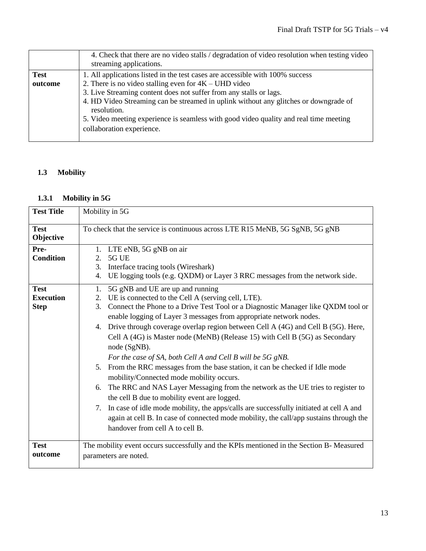|             | 4. Check that there are no video stalls / degradation of video resolution when testing video<br>streaming applications. |
|-------------|-------------------------------------------------------------------------------------------------------------------------|
| <b>Test</b> | 1. All applications listed in the test cases are accessible with 100% success                                           |
| outcome     | 2. There is no video stalling even for $4K - UHD$ video                                                                 |
|             | 3. Live Streaming content does not suffer from any stalls or lags.                                                      |
|             | 4. HD Video Streaming can be streamed in uplink without any glitches or downgrade of<br>resolution.                     |
|             | 5. Video meeting experience is seamless with good video quality and real time meeting                                   |
|             | collaboration experience.                                                                                               |
|             |                                                                                                                         |

## **1.3 Mobility**

### **1.3.1 Mobility in 5G**

| <b>Test Title</b>                              | Mobility in 5G                                                                                                                                                                                                                                                                                                                                                                                                                                                                                                                                                                                                                                                                                                                                                                                                                                                                                                                                                                                                           |  |  |
|------------------------------------------------|--------------------------------------------------------------------------------------------------------------------------------------------------------------------------------------------------------------------------------------------------------------------------------------------------------------------------------------------------------------------------------------------------------------------------------------------------------------------------------------------------------------------------------------------------------------------------------------------------------------------------------------------------------------------------------------------------------------------------------------------------------------------------------------------------------------------------------------------------------------------------------------------------------------------------------------------------------------------------------------------------------------------------|--|--|
| <b>Test</b><br>Objective                       | To check that the service is continuous across LTE R15 MeNB, 5G SgNB, 5G gNB                                                                                                                                                                                                                                                                                                                                                                                                                                                                                                                                                                                                                                                                                                                                                                                                                                                                                                                                             |  |  |
| Pre-<br><b>Condition</b>                       | 1. LTE eNB, 5G gNB on air<br>5G UE<br>2.<br>3. Interface tracing tools (Wireshark)<br>UE logging tools (e.g. QXDM) or Layer 3 RRC messages from the network side.<br>4.                                                                                                                                                                                                                                                                                                                                                                                                                                                                                                                                                                                                                                                                                                                                                                                                                                                  |  |  |
| <b>Test</b><br><b>Execution</b><br><b>Step</b> | 5G gNB and UE are up and running<br>1.<br>UE is connected to the Cell A (serving cell, LTE).<br>2.<br>Connect the Phone to a Drive Test Tool or a Diagnostic Manager like QXDM tool or<br>3.<br>enable logging of Layer 3 messages from appropriate network nodes.<br>4. Drive through coverage overlap region between Cell A (4G) and Cell B (5G). Here,<br>Cell A (4G) is Master node (MeNB) (Release 15) with Cell B (5G) as Secondary<br>node (SgNB).<br>For the case of SA, both Cell A and Cell B will be 5G gNB.<br>5. From the RRC messages from the base station, it can be checked if Idle mode<br>mobility/Connected mode mobility occurs.<br>The RRC and NAS Layer Messaging from the network as the UE tries to register to<br>6.<br>the cell B due to mobility event are logged.<br>7. In case of idle mode mobility, the apps/calls are successfully initiated at cell A and<br>again at cell B. In case of connected mode mobility, the call/app sustains through the<br>handover from cell A to cell B. |  |  |
| <b>Test</b><br>outcome                         | The mobility event occurs successfully and the KPIs mentioned in the Section B- Measured<br>parameters are noted.                                                                                                                                                                                                                                                                                                                                                                                                                                                                                                                                                                                                                                                                                                                                                                                                                                                                                                        |  |  |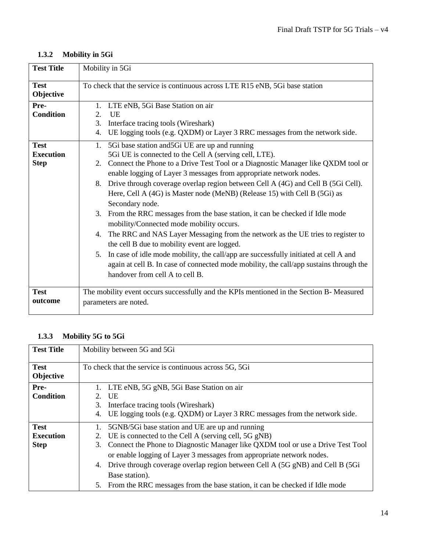| <b>Test Title</b>                              | Mobility in 5Gi                                                                                                                                                                                                                                                                                                                                                                                                                                                                                                                                                                                                                                                                                                                                                                                                                                                                                                                                                         |  |  |
|------------------------------------------------|-------------------------------------------------------------------------------------------------------------------------------------------------------------------------------------------------------------------------------------------------------------------------------------------------------------------------------------------------------------------------------------------------------------------------------------------------------------------------------------------------------------------------------------------------------------------------------------------------------------------------------------------------------------------------------------------------------------------------------------------------------------------------------------------------------------------------------------------------------------------------------------------------------------------------------------------------------------------------|--|--|
| <b>Test</b><br>Objective                       | To check that the service is continuous across LTE R15 eNB, 5Gi base station                                                                                                                                                                                                                                                                                                                                                                                                                                                                                                                                                                                                                                                                                                                                                                                                                                                                                            |  |  |
| Pre-<br><b>Condition</b>                       | LTE eNB, 5Gi Base Station on air<br>2.<br><b>UE</b><br>Interface tracing tools (Wireshark)<br>3.<br>UE logging tools (e.g. QXDM) or Layer 3 RRC messages from the network side.<br>4.                                                                                                                                                                                                                                                                                                                                                                                                                                                                                                                                                                                                                                                                                                                                                                                   |  |  |
| <b>Test</b><br><b>Execution</b><br><b>Step</b> | 1. 5Gi base station and 5Gi UE are up and running<br>5Gi UE is connected to the Cell A (serving cell, LTE).<br>2. Connect the Phone to a Drive Test Tool or a Diagnostic Manager like QXDM tool or<br>enable logging of Layer 3 messages from appropriate network nodes.<br>Drive through coverage overlap region between Cell A (4G) and Cell B (5Gi Cell).<br>8.<br>Here, Cell A (4G) is Master node (MeNB) (Release 15) with Cell B (5Gi) as<br>Secondary node.<br>From the RRC messages from the base station, it can be checked if Idle mode<br>3.<br>mobility/Connected mode mobility occurs.<br>The RRC and NAS Layer Messaging from the network as the UE tries to register to<br>4.<br>the cell B due to mobility event are logged.<br>In case of idle mode mobility, the call/app are successfully initiated at cell A and<br>5.<br>again at cell B. In case of connected mode mobility, the call/app sustains through the<br>handover from cell A to cell B. |  |  |
| <b>Test</b><br>outcome                         | The mobility event occurs successfully and the KPIs mentioned in the Section B- Measured<br>parameters are noted.                                                                                                                                                                                                                                                                                                                                                                                                                                                                                                                                                                                                                                                                                                                                                                                                                                                       |  |  |

### **1.3.3 Mobility 5G to 5Gi**

| <b>Test Title</b>        | Mobility between 5G and 5Gi                                                           |  |  |
|--------------------------|---------------------------------------------------------------------------------------|--|--|
| <b>Test</b><br>Objective | To check that the service is continuous across 5G, 5Gi                                |  |  |
| Pre-                     | LTE eNB, 5G gNB, 5Gi Base Station on air<br>1.                                        |  |  |
| <b>Condition</b>         | 2. UE                                                                                 |  |  |
|                          | Interface tracing tools (Wireshark)<br>3.                                             |  |  |
|                          | UE logging tools (e.g. QXDM) or Layer 3 RRC messages from the network side.<br>4.     |  |  |
| <b>Test</b>              | 5GNB/5Gi base station and UE are up and running<br>1.                                 |  |  |
| <b>Execution</b>         | UE is connected to the Cell A (serving cell, 5G gNB)<br>2.                            |  |  |
| <b>Step</b>              | Connect the Phone to Diagnostic Manager like QXDM tool or use a Drive Test Tool<br>3. |  |  |
|                          | or enable logging of Layer 3 messages from appropriate network nodes.                 |  |  |
|                          | Drive through coverage overlap region between Cell A (5G gNB) and Cell B (5Gi<br>4.   |  |  |
|                          | Base station).                                                                        |  |  |
|                          | 5. From the RRC messages from the base station, it can be checked if Idle mode        |  |  |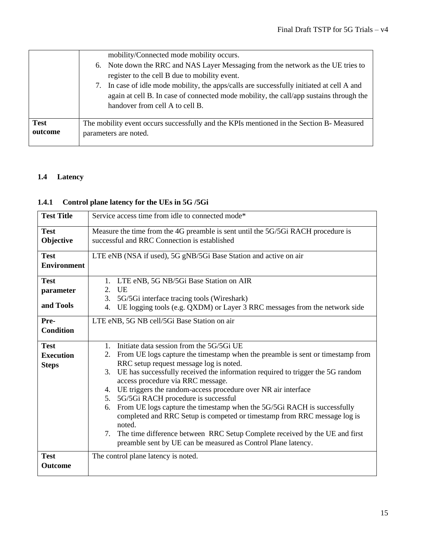|             | mobility/Connected mode mobility occurs.                                                  |
|-------------|-------------------------------------------------------------------------------------------|
|             | 6. Note down the RRC and NAS Layer Messaging from the network as the UE tries to          |
|             | register to the cell B due to mobility event.                                             |
|             | 7. In case of idle mode mobility, the apps/calls are successfully initiated at cell A and |
|             | again at cell B. In case of connected mode mobility, the call/app sustains through the    |
|             | handover from cell A to cell B.                                                           |
|             |                                                                                           |
| <b>Test</b> | The mobility event occurs successfully and the KPIs mentioned in the Section B- Measured  |
| outcome     | parameters are noted.                                                                     |
|             |                                                                                           |

## **1.4 Latency**

### **1.4.1 Control plane latency for the UEs in 5G /5Gi**

| <b>Test Title</b>        | Service access time from idle to connected mode*                                                                                 |  |  |
|--------------------------|----------------------------------------------------------------------------------------------------------------------------------|--|--|
| <b>Test</b><br>Objective | Measure the time from the 4G preamble is sent until the 5G/5Gi RACH procedure is<br>successful and RRC Connection is established |  |  |
|                          |                                                                                                                                  |  |  |
| <b>Test</b>              | LTE eNB (NSA if used), 5G gNB/5Gi Base Station and active on air                                                                 |  |  |
| <b>Environment</b>       |                                                                                                                                  |  |  |
| <b>Test</b>              | 1. LTE eNB, 5G NB/5Gi Base Station on AIR                                                                                        |  |  |
| parameter                | 2. UE                                                                                                                            |  |  |
|                          | 3.<br>5G/5Gi interface tracing tools (Wireshark)                                                                                 |  |  |
| and Tools                | 4. UE logging tools (e.g. QXDM) or Layer 3 RRC messages from the network side                                                    |  |  |
| Pre-                     | LTE eNB, 5G NB cell/5Gi Base Station on air                                                                                      |  |  |
| <b>Condition</b>         |                                                                                                                                  |  |  |
| <b>Test</b>              | 1. Initiate data session from the 5G/5Gi UE                                                                                      |  |  |
| <b>Execution</b>         | From UE logs capture the timestamp when the preamble is sent or timestamp from<br>2.                                             |  |  |
| <b>Steps</b>             | RRC setup request message log is noted.                                                                                          |  |  |
|                          | 3. UE has successfully received the information required to trigger the 5G random<br>access procedure via RRC message.           |  |  |
|                          | 4. UE triggers the random-access procedure over NR air interface                                                                 |  |  |
|                          | 5G/5Gi RACH procedure is successful<br>5.                                                                                        |  |  |
|                          | From UE logs capture the timestamp when the 5G/5Gi RACH is successfully<br>6.                                                    |  |  |
|                          | completed and RRC Setup is competed or timestamp from RRC message log is<br>noted.                                               |  |  |
|                          | The time difference between RRC Setup Complete received by the UE and first<br>7.                                                |  |  |
|                          | preamble sent by UE can be measured as Control Plane latency.                                                                    |  |  |
| <b>Test</b>              | The control plane latency is noted.                                                                                              |  |  |
| <b>Outcome</b>           |                                                                                                                                  |  |  |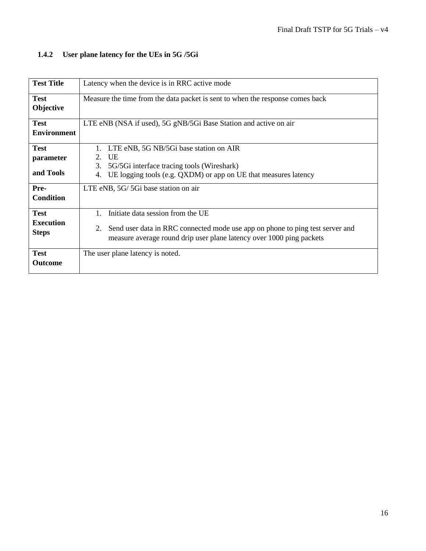## **1.4.2 User plane latency for the UEs in 5G /5Gi**

| <b>Test Title</b>                               | Latency when the device is in RRC active mode                                                                                                                                                    |  |  |
|-------------------------------------------------|--------------------------------------------------------------------------------------------------------------------------------------------------------------------------------------------------|--|--|
| <b>Test</b><br>Objective                        | Measure the time from the data packet is sent to when the response comes back                                                                                                                    |  |  |
| <b>Test</b><br><b>Environment</b>               | LTE eNB (NSA if used), 5G gNB/5Gi Base Station and active on air                                                                                                                                 |  |  |
| <b>Test</b><br>parameter<br>and Tools           | LTE eNB, 5G NB/5Gi base station on AIR<br><b>UE</b><br>$2^{\circ}$<br>5G/5Gi interface tracing tools (Wireshark)<br>3.<br>UE logging tools (e.g. QXDM) or app on UE that measures latency<br>4.  |  |  |
| Pre-<br><b>Condition</b>                        | LTE eNB, 5G/ 5Gi base station on air                                                                                                                                                             |  |  |
| <b>Test</b><br><b>Execution</b><br><b>Steps</b> | Initiate data session from the UE<br>Send user data in RRC connected mode use app on phone to ping test server and<br>2.<br>measure average round drip user plane latency over 1000 ping packets |  |  |
| <b>Test</b><br><b>Outcome</b>                   | The user plane latency is noted.                                                                                                                                                                 |  |  |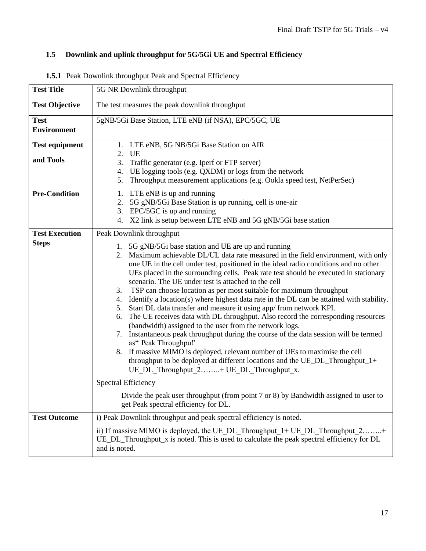## **1.5 Downlink and uplink throughput for 5G/5Gi UE and Spectral Efficiency**

| <b>Test Title</b>                 | 5G NR Downlink throughput                                                                                                                                                                                                                                                                                                                                                                                                                                                                                                                                                                                                                                                                                                                                                                                                                                                                                                                                                                                                                                                                                                          |  |  |
|-----------------------------------|------------------------------------------------------------------------------------------------------------------------------------------------------------------------------------------------------------------------------------------------------------------------------------------------------------------------------------------------------------------------------------------------------------------------------------------------------------------------------------------------------------------------------------------------------------------------------------------------------------------------------------------------------------------------------------------------------------------------------------------------------------------------------------------------------------------------------------------------------------------------------------------------------------------------------------------------------------------------------------------------------------------------------------------------------------------------------------------------------------------------------------|--|--|
| <b>Test Objective</b>             | The test measures the peak downlink throughput                                                                                                                                                                                                                                                                                                                                                                                                                                                                                                                                                                                                                                                                                                                                                                                                                                                                                                                                                                                                                                                                                     |  |  |
| <b>Test</b><br><b>Environment</b> | 5gNB/5Gi Base Station, LTE eNB (if NSA), EPC/5GC, UE                                                                                                                                                                                                                                                                                                                                                                                                                                                                                                                                                                                                                                                                                                                                                                                                                                                                                                                                                                                                                                                                               |  |  |
| <b>Test equipment</b>             | 1. LTE eNB, 5G NB/5Gi Base Station on AIR<br>2. UE                                                                                                                                                                                                                                                                                                                                                                                                                                                                                                                                                                                                                                                                                                                                                                                                                                                                                                                                                                                                                                                                                 |  |  |
| and Tools                         | 3. Traffic generator (e.g. Iperf or FTP server)<br>4. UE logging tools (e.g. QXDM) or logs from the network<br>Throughput measurement applications (e.g. Ookla speed test, NetPerSec)<br>5.                                                                                                                                                                                                                                                                                                                                                                                                                                                                                                                                                                                                                                                                                                                                                                                                                                                                                                                                        |  |  |
| <b>Pre-Condition</b>              | 1. LTE eNB is up and running<br>5G gNB/5Gi Base Station is up running, cell is one-air<br>2.<br>3. EPC/5GC is up and running<br>4. X2 link is setup between LTE eNB and 5G gNB/5Gi base station                                                                                                                                                                                                                                                                                                                                                                                                                                                                                                                                                                                                                                                                                                                                                                                                                                                                                                                                    |  |  |
| <b>Test Execution</b>             | Peak Downlink throughput                                                                                                                                                                                                                                                                                                                                                                                                                                                                                                                                                                                                                                                                                                                                                                                                                                                                                                                                                                                                                                                                                                           |  |  |
| <b>Steps</b>                      | 5G gNB/5Gi base station and UE are up and running<br>1.<br>Maximum achievable DL/UL data rate measured in the field environment, with only<br>2.<br>one UE in the cell under test, positioned in the ideal radio conditions and no other<br>UEs placed in the surrounding cells. Peak rate test should be executed in stationary<br>scenario. The UE under test is attached to the cell<br>TSP can choose location as per most suitable for maximum throughput<br>3.<br>Identify a location(s) where highest data rate in the DL can be attained with stability.<br>4.<br>Start DL data transfer and measure it using app/ from network KPI.<br>5.<br>The UE receives data with DL throughput. Also record the corresponding resources<br>6.<br>(bandwidth) assigned to the user from the network logs.<br>7. Instantaneous peak throughput during the course of the data session will be termed<br>as" Peak Throughput'<br>8. If massive MIMO is deployed, relevant number of UEs to maximise the cell<br>throughput to be deployed at different locations and the UE_DL_Throughput_1+<br>UE_DL_Throughput_2+ UE_DL_Throughput_x. |  |  |
|                                   | <b>Spectral Efficiency</b>                                                                                                                                                                                                                                                                                                                                                                                                                                                                                                                                                                                                                                                                                                                                                                                                                                                                                                                                                                                                                                                                                                         |  |  |
|                                   | Divide the peak user throughput (from point 7 or 8) by Bandwidth assigned to user to<br>get Peak spectral efficiency for DL.                                                                                                                                                                                                                                                                                                                                                                                                                                                                                                                                                                                                                                                                                                                                                                                                                                                                                                                                                                                                       |  |  |
| <b>Test Outcome</b>               | i) Peak Downlink throughput and peak spectral efficiency is noted.                                                                                                                                                                                                                                                                                                                                                                                                                                                                                                                                                                                                                                                                                                                                                                                                                                                                                                                                                                                                                                                                 |  |  |
|                                   | ii) If massive MIMO is deployed, the UE DL Throughput $1 + \text{UE}$ DL Throughput $2$ +<br>$UE\_DL$ Throughput $\bar{x}$ is noted. This is used to calculate the peak spectral efficiency for DL<br>and is noted.                                                                                                                                                                                                                                                                                                                                                                                                                                                                                                                                                                                                                                                                                                                                                                                                                                                                                                                |  |  |

**1.5.1** Peak Downlink throughput Peak and Spectral Efficiency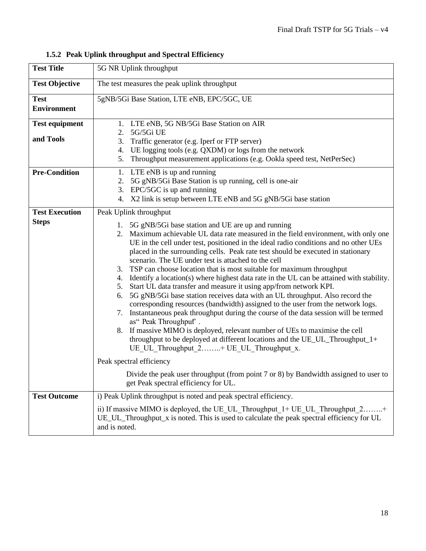|  |  |  | 1.5.2 Peak Uplink throughput and Spectral Efficiency |  |  |
|--|--|--|------------------------------------------------------|--|--|
|--|--|--|------------------------------------------------------|--|--|

| <b>Test Title</b>                     | 5G NR Uplink throughput                                                                                                                                                                                                                                                                                                                                                                                                                                                                                                                                                                                                                                                                                                                                                                                                                                                                                                                                                                                                                                                                                                                                               |  |  |
|---------------------------------------|-----------------------------------------------------------------------------------------------------------------------------------------------------------------------------------------------------------------------------------------------------------------------------------------------------------------------------------------------------------------------------------------------------------------------------------------------------------------------------------------------------------------------------------------------------------------------------------------------------------------------------------------------------------------------------------------------------------------------------------------------------------------------------------------------------------------------------------------------------------------------------------------------------------------------------------------------------------------------------------------------------------------------------------------------------------------------------------------------------------------------------------------------------------------------|--|--|
| <b>Test Objective</b>                 | The test measures the peak uplink throughput                                                                                                                                                                                                                                                                                                                                                                                                                                                                                                                                                                                                                                                                                                                                                                                                                                                                                                                                                                                                                                                                                                                          |  |  |
| <b>Test</b><br><b>Environment</b>     | 5gNB/5Gi Base Station, LTE eNB, EPC/5GC, UE                                                                                                                                                                                                                                                                                                                                                                                                                                                                                                                                                                                                                                                                                                                                                                                                                                                                                                                                                                                                                                                                                                                           |  |  |
| <b>Test equipment</b><br>and Tools    | 1. LTE eNB, 5G NB/5Gi Base Station on AIR<br>5G/5Gi UE<br>2.<br>3. Traffic generator (e.g. Iperf or FTP server)<br>4. UE logging tools (e.g. QXDM) or logs from the network<br>5.<br>Throughput measurement applications (e.g. Ookla speed test, NetPerSec)                                                                                                                                                                                                                                                                                                                                                                                                                                                                                                                                                                                                                                                                                                                                                                                                                                                                                                           |  |  |
| <b>Pre-Condition</b>                  | 1. LTE eNB is up and running<br>5G gNB/5Gi Base Station is up running, cell is one-air<br>2.<br>EPC/5GC is up and running<br>3.<br>X2 link is setup between LTE eNB and 5G gNB/5Gi base station<br>4.                                                                                                                                                                                                                                                                                                                                                                                                                                                                                                                                                                                                                                                                                                                                                                                                                                                                                                                                                                 |  |  |
| <b>Test Execution</b><br><b>Steps</b> | Peak Uplink throughput<br>1. 5G gNB/5Gi base station and UE are up and running<br>2. Maximum achievable UL data rate measured in the field environment, with only one<br>UE in the cell under test, positioned in the ideal radio conditions and no other UEs<br>placed in the surrounding cells. Peak rate test should be executed in stationary<br>scenario. The UE under test is attached to the cell<br>TSP can choose location that is most suitable for maximum throughput<br>3.<br>4. Identify a location(s) where highest data rate in the UL can be attained with stability.<br>5. Start UL data transfer and measure it using app/from network KPI.<br>5G gNB/5Gi base station receives data with an UL throughput. Also record the<br>6.<br>corresponding resources (bandwidth) assigned to the user from the network logs.<br>7. Instantaneous peak throughput during the course of the data session will be termed<br>as" Peak Throughput'.<br>If massive MIMO is deployed, relevant number of UEs to maximise the cell<br>8.<br>throughput to be deployed at different locations and the UE_UL_Throughput_1+<br>UE UL Throughput 2+ UE UL Throughput x. |  |  |
|                                       | Peak spectral efficiency<br>Divide the peak user throughput (from point 7 or 8) by Bandwidth assigned to user to                                                                                                                                                                                                                                                                                                                                                                                                                                                                                                                                                                                                                                                                                                                                                                                                                                                                                                                                                                                                                                                      |  |  |
|                                       | get Peak spectral efficiency for UL.                                                                                                                                                                                                                                                                                                                                                                                                                                                                                                                                                                                                                                                                                                                                                                                                                                                                                                                                                                                                                                                                                                                                  |  |  |
| <b>Test Outcome</b>                   | i) Peak Uplink throughput is noted and peak spectral efficiency.<br>ii) If massive MIMO is deployed, the UE UL Throughput_1+ UE_UL_Throughput_2+<br>UE_UL_Throughput_x is noted. This is used to calculate the peak spectral efficiency for UL<br>and is noted.                                                                                                                                                                                                                                                                                                                                                                                                                                                                                                                                                                                                                                                                                                                                                                                                                                                                                                       |  |  |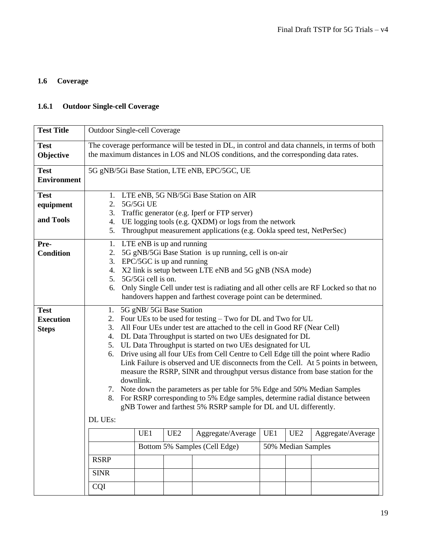## **1.6 Coverage**

## **1.6.1 Outdoor Single-cell Coverage**

| <b>Test Title</b>                               | <b>Outdoor Single-cell Coverage</b>                                                                                                                                                                                                                                                                                                                                                                                                                                                                                                                                                                                                                                                                                                                                                                                                                         |  |  |  |
|-------------------------------------------------|-------------------------------------------------------------------------------------------------------------------------------------------------------------------------------------------------------------------------------------------------------------------------------------------------------------------------------------------------------------------------------------------------------------------------------------------------------------------------------------------------------------------------------------------------------------------------------------------------------------------------------------------------------------------------------------------------------------------------------------------------------------------------------------------------------------------------------------------------------------|--|--|--|
| <b>Test</b><br>Objective                        | The coverage performance will be tested in DL, in control and data channels, in terms of both<br>the maximum distances in LOS and NLOS conditions, and the corresponding data rates.                                                                                                                                                                                                                                                                                                                                                                                                                                                                                                                                                                                                                                                                        |  |  |  |
| <b>Test</b><br><b>Environment</b>               | 5G gNB/5Gi Base Station, LTE eNB, EPC/5GC, UE                                                                                                                                                                                                                                                                                                                                                                                                                                                                                                                                                                                                                                                                                                                                                                                                               |  |  |  |
| <b>Test</b><br>equipment<br>and Tools           | 1. LTE eNB, 5G NB/5Gi Base Station on AIR<br>5G/5Gi UE<br>2.<br>Traffic generator (e.g. Iperf or FTP server)<br>3.<br>UE logging tools (e.g. QXDM) or logs from the network<br>4.<br>Throughput measurement applications (e.g. Ookla speed test, NetPerSec)<br>5.                                                                                                                                                                                                                                                                                                                                                                                                                                                                                                                                                                                           |  |  |  |
| Pre-<br><b>Condition</b>                        | 1. LTE eNB is up and running<br>5G gNB/5Gi Base Station is up running, cell is on-air<br>2.<br>EPC/5GC is up and running<br>3.<br>X2 link is setup between LTE eNB and 5G gNB (NSA mode)<br>4.<br>5G/5Gi cell is on.<br>5.<br>Only Single Cell under test is radiating and all other cells are RF Locked so that no<br>6.<br>handovers happen and farthest coverage point can be determined.                                                                                                                                                                                                                                                                                                                                                                                                                                                                |  |  |  |
| <b>Test</b><br><b>Execution</b><br><b>Steps</b> | 5G gNB/ 5Gi Base Station<br>1.<br>Four UEs to be used for testing - Two for DL and Two for UL<br>2.<br>All Four UEs under test are attached to the cell in Good RF (Near Cell)<br>3.<br>DL Data Throughput is started on two UEs designated for DL<br>4.<br>5. UL Data Throughput is started on two UEs designated for UL<br>Drive using all four UEs from Cell Centre to Cell Edge till the point where Radio<br>6.<br>Link Failure is observed and UE disconnects from the Cell. At 5 points in between,<br>measure the RSRP, SINR and throughput versus distance from base station for the<br>downlink.<br>7. Note down the parameters as per table for 5% Edge and 50% Median Samples<br>8. For RSRP corresponding to 5% Edge samples, determine radial distance between<br>gNB Tower and farthest 5% RSRP sample for DL and UL differently.<br>DL UEs: |  |  |  |
|                                                 | UE <sub>2</sub><br>UE <sub>2</sub><br>UE1<br>UE1<br>Aggregate/Average<br>Aggregate/Average<br>Bottom 5% Samples (Cell Edge)<br>50% Median Samples                                                                                                                                                                                                                                                                                                                                                                                                                                                                                                                                                                                                                                                                                                           |  |  |  |
|                                                 | <b>RSRP</b><br><b>SINR</b>                                                                                                                                                                                                                                                                                                                                                                                                                                                                                                                                                                                                                                                                                                                                                                                                                                  |  |  |  |
|                                                 | CQI                                                                                                                                                                                                                                                                                                                                                                                                                                                                                                                                                                                                                                                                                                                                                                                                                                                         |  |  |  |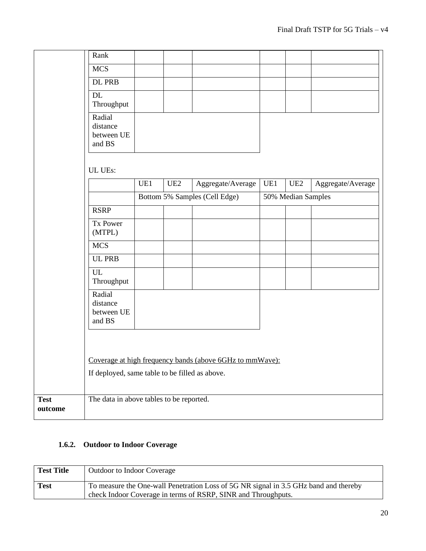|                        | Rank                                           |     |     |                                                          |     |                    |                   |
|------------------------|------------------------------------------------|-----|-----|----------------------------------------------------------|-----|--------------------|-------------------|
|                        | <b>MCS</b>                                     |     |     |                                                          |     |                    |                   |
|                        | <b>DL PRB</b>                                  |     |     |                                                          |     |                    |                   |
|                        | DL<br>Throughput                               |     |     |                                                          |     |                    |                   |
|                        | Radial<br>distance<br>between UE<br>and BS     |     |     |                                                          |     |                    |                   |
|                        | UL UEs:                                        |     |     |                                                          |     |                    |                   |
|                        |                                                | UE1 | UE2 | Aggregate/Average                                        | UE1 | UE2                | Aggregate/Average |
|                        |                                                |     |     | Bottom 5% Samples (Cell Edge)                            |     | 50% Median Samples |                   |
|                        | <b>RSRP</b>                                    |     |     |                                                          |     |                    |                   |
|                        | Tx Power<br>(MTPL)                             |     |     |                                                          |     |                    |                   |
|                        | <b>MCS</b>                                     |     |     |                                                          |     |                    |                   |
|                        | <b>UL PRB</b>                                  |     |     |                                                          |     |                    |                   |
|                        | UL<br>Throughput                               |     |     |                                                          |     |                    |                   |
|                        | Radial<br>distance<br>between UE<br>and BS     |     |     |                                                          |     |                    |                   |
|                        | If deployed, same table to be filled as above. |     |     | Coverage at high frequency bands (above 6GHz to mmWave): |     |                    |                   |
| <b>Test</b><br>outcome | The data in above tables to be reported.       |     |     |                                                          |     |                    |                   |

#### **1.6.2. Outdoor to Indoor Coverage**

| <b>Test Title</b> | <b>Outdoor to Indoor Coverage</b>                                                                                                                     |
|-------------------|-------------------------------------------------------------------------------------------------------------------------------------------------------|
| <b>Test</b>       | To measure the One-wall Penetration Loss of 5G NR signal in 3.5 GHz band and thereby<br>check Indoor Coverage in terms of RSRP, SINR and Throughputs. |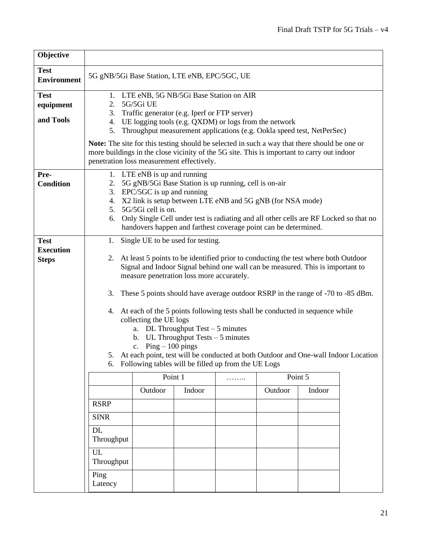| Objective                                       |                                                                                                                                                                                                                                                                                                                                                                                                                                                                                                                                                                                                                                                                                                    |         |        |   |         |        |  |
|-------------------------------------------------|----------------------------------------------------------------------------------------------------------------------------------------------------------------------------------------------------------------------------------------------------------------------------------------------------------------------------------------------------------------------------------------------------------------------------------------------------------------------------------------------------------------------------------------------------------------------------------------------------------------------------------------------------------------------------------------------------|---------|--------|---|---------|--------|--|
| <b>Test</b><br><b>Environment</b>               | 5G gNB/5Gi Base Station, LTE eNB, EPC/5GC, UE                                                                                                                                                                                                                                                                                                                                                                                                                                                                                                                                                                                                                                                      |         |        |   |         |        |  |
| <b>Test</b><br>equipment<br>and Tools           | 1. LTE eNB, 5G NB/5Gi Base Station on AIR<br>5G/5Gi UE<br>2.<br>Traffic generator (e.g. Iperf or FTP server)<br>3.<br>4. UE logging tools (e.g. QXDM) or logs from the network<br>Throughput measurement applications (e.g. Ookla speed test, NetPerSec)<br>5.<br><b>Note:</b> The site for this testing should be selected in such a way that there should be one or<br>more buildings in the close vicinity of the 5G site. This is important to carry out indoor<br>penetration loss measurement effectively.                                                                                                                                                                                   |         |        |   |         |        |  |
| Pre-<br><b>Condition</b>                        | 1. LTE eNB is up and running<br>5G gNB/5Gi Base Station is up running, cell is on-air<br>2.<br>$EPC/5GC$ is up and running<br>3.<br>X2 link is setup between LTE eNB and 5G gNB (for NSA mode)<br>4.<br>5G/5Gi cell is on.<br>5.<br>Only Single Cell under test is radiating and all other cells are RF Locked so that no<br>6.<br>handovers happen and farthest coverage point can be determined.                                                                                                                                                                                                                                                                                                 |         |        |   |         |        |  |
| <b>Test</b><br><b>Execution</b><br><b>Steps</b> | Single UE to be used for testing.<br>1.                                                                                                                                                                                                                                                                                                                                                                                                                                                                                                                                                                                                                                                            |         |        |   |         |        |  |
|                                                 | At least 5 points to be identified prior to conducting the test where both Outdoor<br>2.<br>Signal and Indoor Signal behind one wall can be measured. This is important to<br>measure penetration loss more accurately.<br>These 5 points should have average outdoor RSRP in the range of -70 to -85 dBm.<br>3.<br>At each of the 5 points following tests shall be conducted in sequence while<br>4.<br>collecting the UE logs<br>a. DL Throughput Test $-5$ minutes<br>UL Throughput Tests $-5$ minutes<br>b.<br>$Ping - 100$ pings<br>c.<br>At each point, test will be conducted at both Outdoor and One-wall Indoor Location<br>5.<br>6. Following tables will be filled up from the UE Logs |         |        |   |         |        |  |
|                                                 |                                                                                                                                                                                                                                                                                                                                                                                                                                                                                                                                                                                                                                                                                                    | Point 1 |        | . | Point 5 |        |  |
|                                                 |                                                                                                                                                                                                                                                                                                                                                                                                                                                                                                                                                                                                                                                                                                    | Outdoor | Indoor |   | Outdoor | Indoor |  |
|                                                 | <b>RSRP</b><br><b>SINR</b>                                                                                                                                                                                                                                                                                                                                                                                                                                                                                                                                                                                                                                                                         |         |        |   |         |        |  |
|                                                 | <b>DL</b><br>Throughput                                                                                                                                                                                                                                                                                                                                                                                                                                                                                                                                                                                                                                                                            |         |        |   |         |        |  |
|                                                 | UL<br>Throughput                                                                                                                                                                                                                                                                                                                                                                                                                                                                                                                                                                                                                                                                                   |         |        |   |         |        |  |
|                                                 | Ping<br>Latency                                                                                                                                                                                                                                                                                                                                                                                                                                                                                                                                                                                                                                                                                    |         |        |   |         |        |  |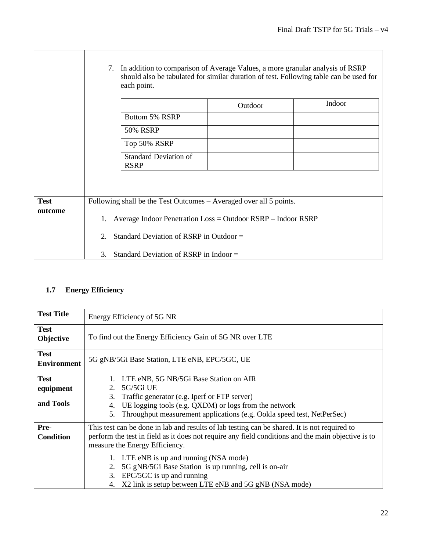|             |    | each point.                                 | 7. In addition to comparison of Average Values, a more granular analysis of RSRP | should also be tabulated for similar duration of test. Following table can be used for |
|-------------|----|---------------------------------------------|----------------------------------------------------------------------------------|----------------------------------------------------------------------------------------|
|             |    |                                             | Outdoor                                                                          | Indoor                                                                                 |
|             |    | Bottom 5% RSRP                              |                                                                                  |                                                                                        |
|             |    | <b>50% RSRP</b>                             |                                                                                  |                                                                                        |
|             |    | Top 50% RSRP                                |                                                                                  |                                                                                        |
|             |    | <b>Standard Deviation of</b><br><b>RSRP</b> |                                                                                  |                                                                                        |
|             |    |                                             |                                                                                  |                                                                                        |
| <b>Test</b> |    |                                             | Following shall be the Test Outcomes – Averaged over all 5 points.               |                                                                                        |
| outcome     |    |                                             | 1. Average Indoor Penetration Loss = Outdoor RSRP - Indoor RSRP                  |                                                                                        |
|             | 2. | Standard Deviation of RSRP in Outdoor =     |                                                                                  |                                                                                        |
|             | 3. | Standard Deviation of RSRP in Indoor $=$    |                                                                                  |                                                                                        |

## **1.7 Energy Efficiency**

| <b>Test Title</b>                     | Energy Efficiency of 5G NR                                                                                                                                                                                                                                                                                                                                                                                                               |
|---------------------------------------|------------------------------------------------------------------------------------------------------------------------------------------------------------------------------------------------------------------------------------------------------------------------------------------------------------------------------------------------------------------------------------------------------------------------------------------|
| <b>Test</b><br>Objective              | To find out the Energy Efficiency Gain of 5G NR over LTE                                                                                                                                                                                                                                                                                                                                                                                 |
| <b>Test</b><br><b>Environment</b>     | 5G gNB/5Gi Base Station, LTE eNB, EPC/5GC, UE                                                                                                                                                                                                                                                                                                                                                                                            |
| <b>Test</b><br>equipment<br>and Tools | LTE eNB, 5G NB/5Gi Base Station on AIR<br>5G/5Gi UE<br>2.<br>Traffic generator (e.g. Iperf or FTP server)<br>3.<br>UE logging tools (e.g. QXDM) or logs from the network<br>4.<br>Throughput measurement applications (e.g. Ookla speed test, NetPerSec)<br>5.                                                                                                                                                                           |
| Pre-<br><b>Condition</b>              | This test can be done in lab and results of lab testing can be shared. It is not required to<br>perform the test in field as it does not require any field conditions and the main objective is to<br>measure the Energy Efficiency.<br>LTE eNB is up and running (NSA mode)<br>5G gNB/5Gi Base Station is up running, cell is on-air<br>2.<br>EPC/5GC is up and running<br>3.<br>X2 link is setup between LTE eNB and 5G gNB (NSA mode) |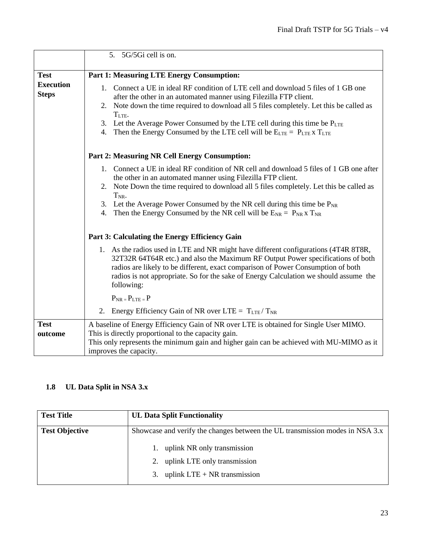|                                  | 5. 5G/5Gi cell is on.                                                                                                                                                                                                                                                                                                                                             |
|----------------------------------|-------------------------------------------------------------------------------------------------------------------------------------------------------------------------------------------------------------------------------------------------------------------------------------------------------------------------------------------------------------------|
|                                  |                                                                                                                                                                                                                                                                                                                                                                   |
| <b>Test</b>                      | <b>Part 1: Measuring LTE Energy Consumption:</b>                                                                                                                                                                                                                                                                                                                  |
| <b>Execution</b><br><b>Steps</b> | 1. Connect a UE in ideal RF condition of LTE cell and download 5 files of 1 GB one<br>after the other in an automated manner using Filezilla FTP client.                                                                                                                                                                                                          |
|                                  | 2. Note down the time required to download all 5 files completely. Let this be called as<br>T <sub>LTE</sub> .                                                                                                                                                                                                                                                    |
|                                  | 3. Let the Average Power Consumed by the LTE cell during this time be PLTE                                                                                                                                                                                                                                                                                        |
|                                  | 4. Then the Energy Consumed by the LTE cell will be $E_{\text{LTE}} = P_{\text{LTE}} x T_{\text{LTE}}$                                                                                                                                                                                                                                                            |
|                                  | Part 2: Measuring NR Cell Energy Consumption:                                                                                                                                                                                                                                                                                                                     |
|                                  | 1. Connect a UE in ideal RF condition of NR cell and download 5 files of 1 GB one after<br>the other in an automated manner using Filezilla FTP client.                                                                                                                                                                                                           |
|                                  | 2. Note Down the time required to download all 5 files completely. Let this be called as<br>$T_{NR}$ .                                                                                                                                                                                                                                                            |
|                                  | 3. Let the Average Power Consumed by the NR cell during this time be $P_{NR}$<br>Then the Energy Consumed by the NR cell will be $E_{NR} = P_{NR} x T_{NR}$<br>4.                                                                                                                                                                                                 |
|                                  | Part 3: Calculating the Energy Efficiency Gain                                                                                                                                                                                                                                                                                                                    |
|                                  | 1. As the radios used in LTE and NR might have different configurations (4T4R 8T8R,<br>32T32R 64T64R etc.) and also the Maximum RF Output Power specifications of both<br>radios are likely to be different, exact comparison of Power Consumption of both<br>radios is not appropriate. So for the sake of Energy Calculation we should assume the<br>following: |
|                                  | $P_{NR} = P_{LTE} = P$                                                                                                                                                                                                                                                                                                                                            |
|                                  | Energy Efficiency Gain of NR over LTE = $T_{LTE}/T_{NR}$<br>2.                                                                                                                                                                                                                                                                                                    |
| <b>Test</b>                      | A baseline of Energy Efficiency Gain of NR over LTE is obtained for Single User MIMO.                                                                                                                                                                                                                                                                             |
| outcome                          | This is directly proportional to the capacity gain.                                                                                                                                                                                                                                                                                                               |
|                                  | This only represents the minimum gain and higher gain can be achieved with MU-MIMO as it                                                                                                                                                                                                                                                                          |
|                                  | improves the capacity.                                                                                                                                                                                                                                                                                                                                            |

### **1.8 UL Data Split in NSA 3.x**

| <b>Test Title</b>     | <b>UL Data Split Functionality</b>                                           |
|-----------------------|------------------------------------------------------------------------------|
| <b>Test Objective</b> | Showcase and verify the changes between the UL transmission modes in NSA 3.x |
|                       | uplink NR only transmission                                                  |
|                       | uplink LTE only transmission                                                 |
|                       | uplink $LTE + NR$ transmission<br>3.                                         |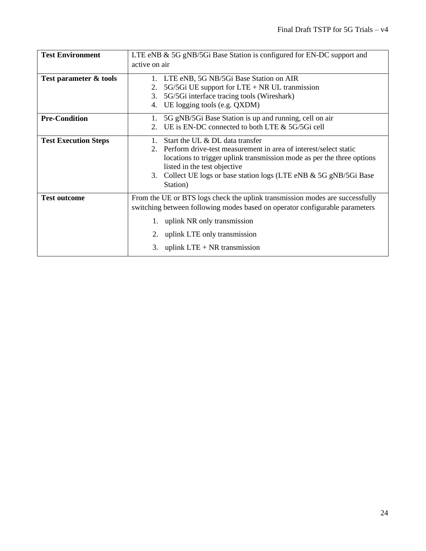| <b>Test Environment</b>     | LTE eNB & 5G gNB/5Gi Base Station is configured for EN-DC support and                                                                                                                                                                                                                           |  |  |
|-----------------------------|-------------------------------------------------------------------------------------------------------------------------------------------------------------------------------------------------------------------------------------------------------------------------------------------------|--|--|
|                             | active on air                                                                                                                                                                                                                                                                                   |  |  |
| Test parameter & tools      | LTE eNB, 5G NB/5Gi Base Station on AIR<br>1.<br>5G/5Gi UE support for $LTE + NR$ UL tranmission<br>2.<br>5G/5Gi interface tracing tools (Wireshark)<br>3.<br>UE logging tools (e.g. QXDM)<br>4.                                                                                                 |  |  |
| <b>Pre-Condition</b>        | 5G gNB/5Gi Base Station is up and running, cell on air<br>1.<br>UE is EN-DC connected to both LTE & 5G/5Gi cell<br>$2_{-}$                                                                                                                                                                      |  |  |
| <b>Test Execution Steps</b> | Start the UL & DL data transfer<br>Perform drive-test measurement in area of interest/select static<br>locations to trigger uplink transmission mode as per the three options<br>listed in the test objective<br>3. Collect UE logs or base station logs (LTE eNB & 5G gNB/5Gi Base<br>Station) |  |  |
| <b>Test outcome</b>         | From the UE or BTS logs check the uplink transmission modes are successfully<br>switching between following modes based on operator configurable parameters<br>1. uplink NR only transmission<br>2. uplink LTE only transmission<br>3. uplink LTE $+$ NR transmission                           |  |  |